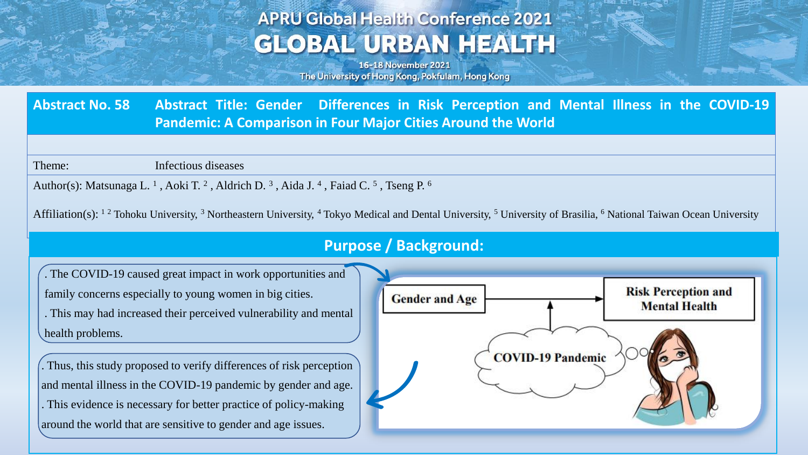# **APRU Global Health Conference 2021 GLOBAL URBAN HEALTH**

16-18 November 2021 The University of Hong Kong, Pokfulam, Hong Kong

**Abstract No. 58 Abstract Title: Gender Differences in Risk Perception and Mental Illness in the COVID-19 Pandemic: A Comparison in Four Major Cities Around the World**

Theme: Infectious diseases

Author(s): Matsunaga L.<sup>1</sup>, Aoki T.<sup>2</sup>, Aldrich D.<sup>3</sup>, Aida J.<sup>4</sup>, Faiad C.<sup>5</sup>, Tseng P.<sup>6</sup>

Affiliation(s): <sup>1 2</sup> Tohoku University, <sup>3</sup> Northeastern University, <sup>4</sup> Tokyo Medical and Dental University, <sup>5</sup> University of Brasilia, <sup>6</sup> National Taiwan Ocean University

#### **Purpose / Background:**

. The COVID-19 caused great impact in work opportunities and family concerns especially to young women in big cities. . This may had increased their perceived vulnerability and mental health problems.

. Thus, this study proposed to verify differences of risk perception and mental illness in the COVID-19 pandemic by gender and age. . This evidence is necessary for better practice of policy-making around the world that are sensitive to gender and age issues.

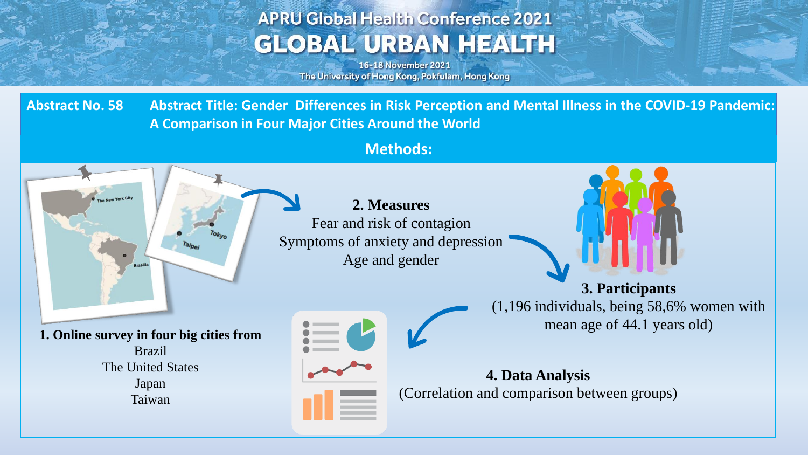# **APRU Global Health Conference 2021 GLOBAL URBAN HEALTH**

16-18 November 2021 The University of Hong Kong, Pokfulam, Hong Kong

Abstract No. 58 Abstract Title: Gender Differences in Risk Perception and Mental Illness in the COVID-19 Pandemic: **A Comparison in Four Major Cities Around the World**

**Methods:**